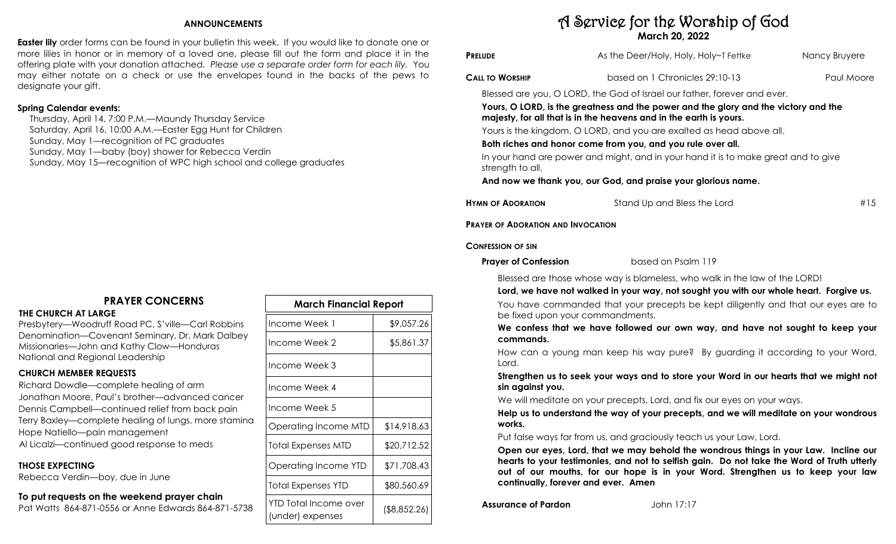#### **ANNOUNCEMENTS**

**Easter lily** order forms can be found in your bulletin this week. If you would like to donate one or more lilies in honor or in memory of a loved one, please fill out the form and place it in the offering plate with your donation attached. *Please use a separate order form for each lily.* You may either notate on a check or use the envelopes found in the backs of the pews to designate your gift.

#### **Spring Calendar events:**

 Thursday, April 14, 7:00 P.M.—Maundy Thursday Service Saturday, April 16, 10:00 A.M.—Easter Egg Hunt for Children Sunday, May 1—recognition of PC graduates Sunday, May 1—baby (boy) shower for Rebecca Verdin Sunday, May 15—recognition of WPC high school and college graduates

## **PRAYER CONCERNS**

#### **THE CHURCH AT LARGE**

Presbytery—Woodruff Road PC, S'ville—Carl Robbins Denomination—Covenant Seminary, Dr. Mark Dalbey Missionaries—John and Kathy Clow—Honduras National and Regional Leadership

### **CHURCH MEMBER REQUESTS**

Richard Dowdle—complete healing of arm Jonathan Moore, Paul's brother—advanced cancer Dennis Campbell—continued relief from back pain Terry Baxley—complete healing of lungs, more stamina Hope Natiello—pain management Al Licalzi—continued good response to meds

#### **THOSE EXPECTING**

Rebecca Verdin—boy, due in June

## **To put requests on the weekend prayer chain**

Pat Watts 864-871-0556 or Anne Edwards 864-871-5738

| <b>March Financial Report</b>             |              |  |  |  |
|-------------------------------------------|--------------|--|--|--|
| Income Week 1                             | \$9,057.26   |  |  |  |
| Income Week 2                             | \$5,861.37   |  |  |  |
| Income Week 3                             |              |  |  |  |
| Income Week 4                             |              |  |  |  |
| Income Week 5                             |              |  |  |  |
| Operating Income MTD                      | \$14,918.63  |  |  |  |
| Total Expenses MTD                        | \$20,712.52  |  |  |  |
| Operating Income YTD                      | \$71,708.43  |  |  |  |
| Total Expenses YTD                        | \$80,560.69  |  |  |  |
| YTD Total Income over<br>(under) expenses | (\$8,852.26) |  |  |  |

# A Service for the Worship of God **March 20, 2022**

| <b>PRELUDE</b>                                                             | As the Deer/Holy, Holy, Holy~T Fettke                                                                                                                                                                                                                                                                                                                                                                                                                                                                                                                                                             | Nancy Bruyere |
|----------------------------------------------------------------------------|---------------------------------------------------------------------------------------------------------------------------------------------------------------------------------------------------------------------------------------------------------------------------------------------------------------------------------------------------------------------------------------------------------------------------------------------------------------------------------------------------------------------------------------------------------------------------------------------------|---------------|
| Call to Worship                                                            | based on 1 Chronicles 29:10-13                                                                                                                                                                                                                                                                                                                                                                                                                                                                                                                                                                    | Paul Moore    |
| strength to all.                                                           | Blessed are you, O LORD, the God of Israel our father, forever and ever.<br>Yours, O LORD, is the greatness and the power and the glory and the victory and the<br>majesty, for all that is in the heavens and in the earth is yours.<br>Yours is the kingdom, O LORD, and you are exalted as head above all.<br>Both riches and honor come from you, and you rule over all.<br>In your hand are power and might, and in your hand it is to make great and to give<br>And now we thank you, our God, and praise your glorious name.                                                               |               |
| <b>HYMN OF ADORATION</b>                                                   | Stand Up and Bless the Lord                                                                                                                                                                                                                                                                                                                                                                                                                                                                                                                                                                       | #15           |
| <b>PRAYER OF ADORATION AND INVOCATION</b>                                  |                                                                                                                                                                                                                                                                                                                                                                                                                                                                                                                                                                                                   |               |
| <b>CONFESSION OF SIN</b>                                                   |                                                                                                                                                                                                                                                                                                                                                                                                                                                                                                                                                                                                   |               |
| <b>Prayer of Confession</b>                                                | based on Psalm 119                                                                                                                                                                                                                                                                                                                                                                                                                                                                                                                                                                                |               |
| be fixed upon your commandments.<br>commands.<br>Lord.<br>sin against you. | Blessed are those whose way is blameless, who walk in the law of the LORD!<br>Lord, we have not walked in your way, not sought you with our whole heart. Forgive us.<br>You have commanded that your precepts be kept diligently and that our eyes are to<br>We confess that we have followed our own way, and have not sought to keep your<br>How can a young man keep his way pure? By guarding it according to your Word,<br>Strengthen us to seek your ways and to store your Word in our hearts that we might not<br>We will meditate on your precepts, Lord, and fix our eyes on your ways. |               |
| works.                                                                     | Help us to understand the way of your precepts, and we will meditate on your wondrous                                                                                                                                                                                                                                                                                                                                                                                                                                                                                                             |               |
| continually, forever and ever. Amen                                        | Put false ways far from us, and graciously teach us your Law, Lord.<br>Open our eyes, Lord, that we may behold the wondrous things in your Law. Incline our<br>hearts to your testimonies, and not to selfish gain. Do not take the Word of Truth utterly<br>out of our mouths, for our hope is in your Word. Strengthen us to keep your law                                                                                                                                                                                                                                                      |               |

**Assurance of Pardon** John 17:17